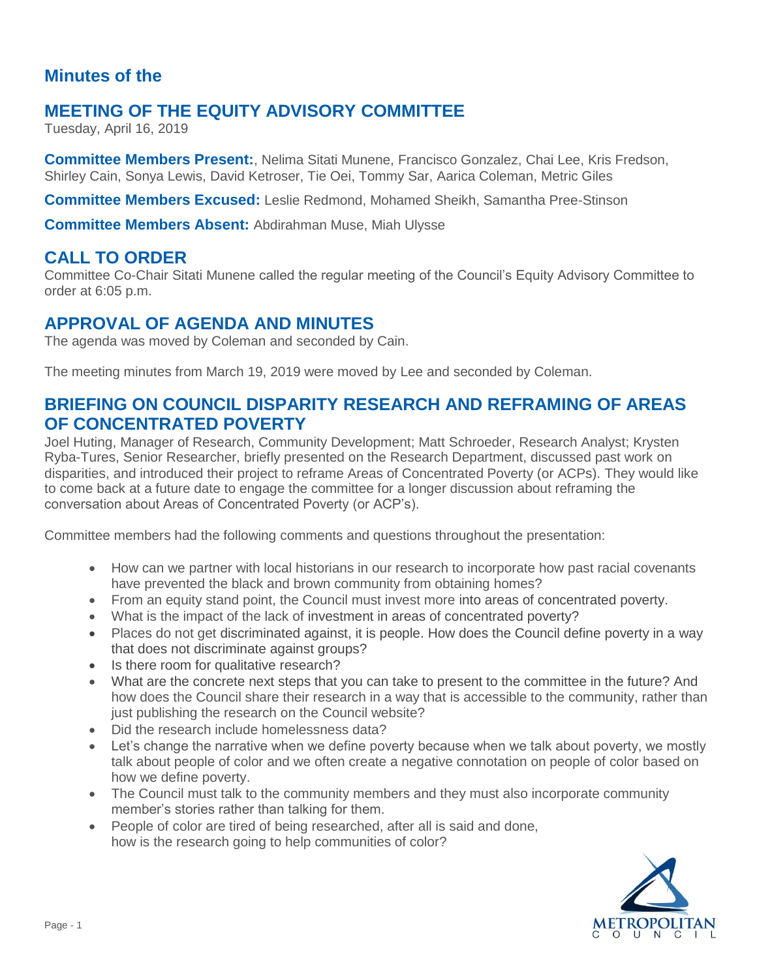## **Minutes of the**

# **MEETING OF THE EQUITY ADVISORY COMMITTEE**

Tuesday, April 16, 2019

**Committee Members Present:**, Nelima Sitati Munene, Francisco Gonzalez, Chai Lee, Kris Fredson, Shirley Cain, Sonya Lewis, David Ketroser, Tie Oei, Tommy Sar, Aarica Coleman, Metric Giles

**Committee Members Excused:** Leslie Redmond, Mohamed Sheikh, Samantha Pree-Stinson

**Committee Members Absent:** Abdirahman Muse, Miah Ulysse

### **CALL TO ORDER**

Committee Co-Chair Sitati Munene called the regular meeting of the Council's Equity Advisory Committee to order at 6:05 p.m.

#### **APPROVAL OF AGENDA AND MINUTES**

The agenda was moved by Coleman and seconded by Cain.

The meeting minutes from March 19, 2019 were moved by Lee and seconded by Coleman.

#### **BRIEFING ON COUNCIL DISPARITY RESEARCH AND REFRAMING OF AREAS OF CONCENTRATED POVERTY**

Joel Huting, Manager of Research, Community Development; Matt Schroeder, Research Analyst; Krysten Ryba-Tures, Senior Researcher, briefly presented on the Research Department, discussed past work on disparities, and introduced their project to reframe Areas of Concentrated Poverty (or ACPs). They would like to come back at a future date to engage the committee for a longer discussion about reframing the conversation about Areas of Concentrated Poverty (or ACP's).

Committee members had the following comments and questions throughout the presentation:

- How can we partner with local historians in our research to incorporate how past racial covenants have prevented the black and brown community from obtaining homes?
- From an equity stand point, the Council must invest more into areas of concentrated poverty.
- What is the impact of the lack of investment in areas of concentrated poverty?
- Places do not get discriminated against, it is people. How does the Council define poverty in a way that does not discriminate against groups?
- Is there room for qualitative research?
- What are the concrete next steps that you can take to present to the committee in the future? And how does the Council share their research in a way that is accessible to the community, rather than just publishing the research on the Council website?
- Did the research include homelessness data?
- Let's change the narrative when we define poverty because when we talk about poverty, we mostly talk about people of color and we often create a negative connotation on people of color based on how we define poverty.
- The Council must talk to the community members and they must also incorporate community member's stories rather than talking for them.
- People of color are tired of being researched, after all is said and done, how is the research going to help communities of color?

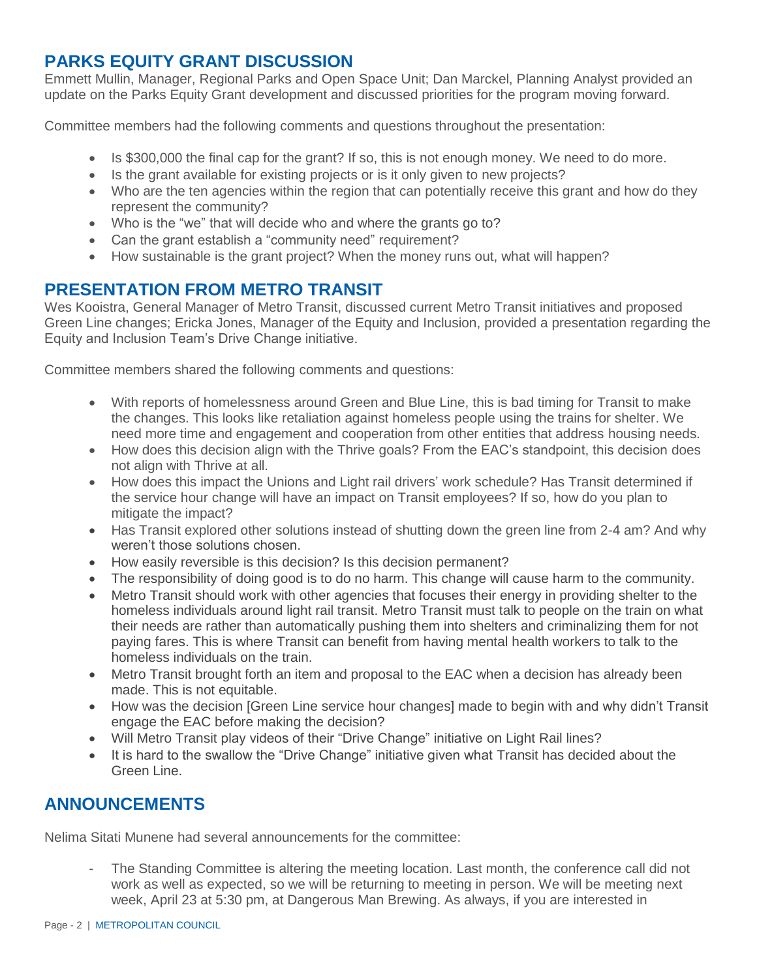### **PARKS EQUITY GRANT DISCUSSION**

Emmett Mullin, Manager, Regional Parks and Open Space Unit; Dan Marckel, Planning Analyst provided an update on the Parks Equity Grant development and discussed priorities for the program moving forward.

Committee members had the following comments and questions throughout the presentation:

- Is \$300,000 the final cap for the grant? If so, this is not enough money. We need to do more.
- Is the grant available for existing projects or is it only given to new projects?
- Who are the ten agencies within the region that can potentially receive this grant and how do they represent the community?
- Who is the "we" that will decide who and where the grants go to?
- Can the grant establish a "community need" requirement?
- How sustainable is the grant project? When the money runs out, what will happen?

### **PRESENTATION FROM METRO TRANSIT**

Wes Kooistra, General Manager of Metro Transit, discussed current Metro Transit initiatives and proposed Green Line changes; Ericka Jones, Manager of the Equity and Inclusion, provided a presentation regarding the Equity and Inclusion Team's Drive Change initiative.

Committee members shared the following comments and questions:

- With reports of homelessness around Green and Blue Line, this is bad timing for Transit to make the changes. This looks like retaliation against homeless people using the trains for shelter. We need more time and engagement and cooperation from other entities that address housing needs.
- How does this decision align with the Thrive goals? From the EAC's standpoint, this decision does not align with Thrive at all.
- How does this impact the Unions and Light rail drivers' work schedule? Has Transit determined if the service hour change will have an impact on Transit employees? If so, how do you plan to mitigate the impact?
- Has Transit explored other solutions instead of shutting down the green line from 2-4 am? And why weren't those solutions chosen.
- How easily reversible is this decision? Is this decision permanent?
- The responsibility of doing good is to do no harm. This change will cause harm to the community.
- Metro Transit should work with other agencies that focuses their energy in providing shelter to the homeless individuals around light rail transit. Metro Transit must talk to people on the train on what their needs are rather than automatically pushing them into shelters and criminalizing them for not paying fares. This is where Transit can benefit from having mental health workers to talk to the homeless individuals on the train.
- Metro Transit brought forth an item and proposal to the EAC when a decision has already been made. This is not equitable.
- How was the decision [Green Line service hour changes] made to begin with and why didn't Transit engage the EAC before making the decision?
- Will Metro Transit play videos of their "Drive Change" initiative on Light Rail lines?
- It is hard to the swallow the "Drive Change" initiative given what Transit has decided about the Green Line.

# **ANNOUNCEMENTS**

Nelima Sitati Munene had several announcements for the committee:

The Standing Committee is altering the meeting location. Last month, the conference call did not work as well as expected, so we will be returning to meeting in person. We will be meeting next week, April 23 at 5:30 pm, at Dangerous Man Brewing. As always, if you are interested in